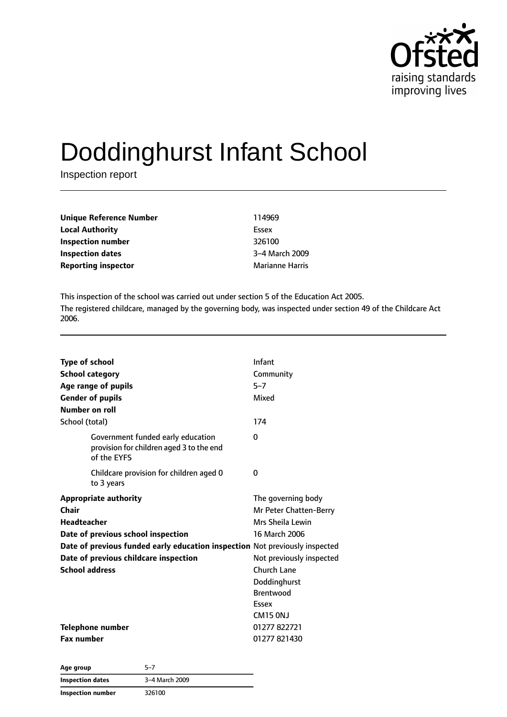

# Doddinghurst Infant School

Inspection report

| Unique Reference Number    | 114969                 |
|----------------------------|------------------------|
| <b>Local Authority</b>     | Essex                  |
| Inspection number          | 326100                 |
| <b>Inspection dates</b>    | 3-4 March 2009         |
| <b>Reporting inspector</b> | <b>Marianne Harris</b> |

This inspection of the school was carried out under section 5 of the Education Act 2005. The registered childcare, managed by the governing body, was inspected under section 49 of the Childcare Act 2006.

| <b>Type of school</b><br><b>School category</b><br>Age range of pupils<br><b>Gender of pupils</b><br>Number on roll                                                                                                                                | Infant<br>Community<br>$5 - 7$<br>Mixed                                                                                                                                               |
|----------------------------------------------------------------------------------------------------------------------------------------------------------------------------------------------------------------------------------------------------|---------------------------------------------------------------------------------------------------------------------------------------------------------------------------------------|
| School (total)<br>Government funded early education<br>provision for children aged 3 to the end<br>of the EYFS                                                                                                                                     | 174<br>0                                                                                                                                                                              |
| Childcare provision for children aged 0<br>to 3 years                                                                                                                                                                                              | 0                                                                                                                                                                                     |
| <b>Appropriate authority</b><br>Chair<br><b>Headteacher</b><br>Date of previous school inspection<br>Date of previous funded early education inspection Not previously inspected<br>Date of previous childcare inspection<br><b>School address</b> | The governing body<br>Mr Peter Chatten-Berry<br>Mrs Sheila Lewin<br>16 March 2006<br>Not previously inspected<br>Church Lane<br>Doddinghurst<br><b>Brentwood</b><br>Essex<br>CM15 ONJ |
| Telephone number<br><b>Fax number</b>                                                                                                                                                                                                              | 01277822721<br>01277821430                                                                                                                                                            |

| Age group               | 5–7            |
|-------------------------|----------------|
| <b>Inspection dates</b> | 3-4 March 2009 |
| Inspection number       | 326100         |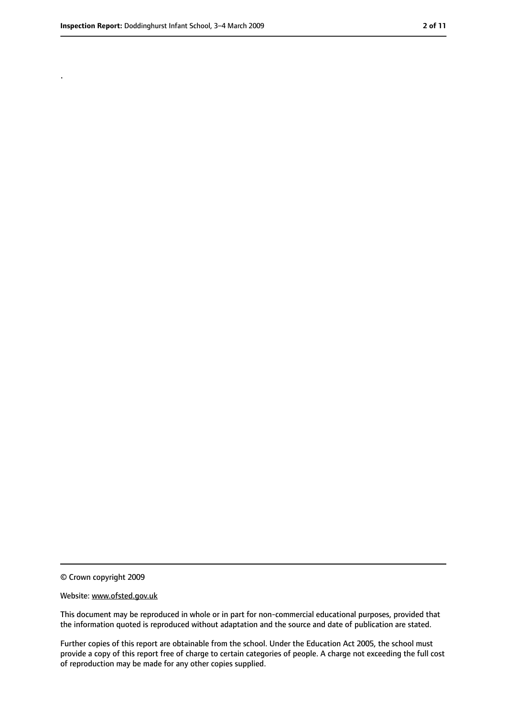.

<sup>©</sup> Crown copyright 2009

Website: www.ofsted.gov.uk

This document may be reproduced in whole or in part for non-commercial educational purposes, provided that the information quoted is reproduced without adaptation and the source and date of publication are stated.

Further copies of this report are obtainable from the school. Under the Education Act 2005, the school must provide a copy of this report free of charge to certain categories of people. A charge not exceeding the full cost of reproduction may be made for any other copies supplied.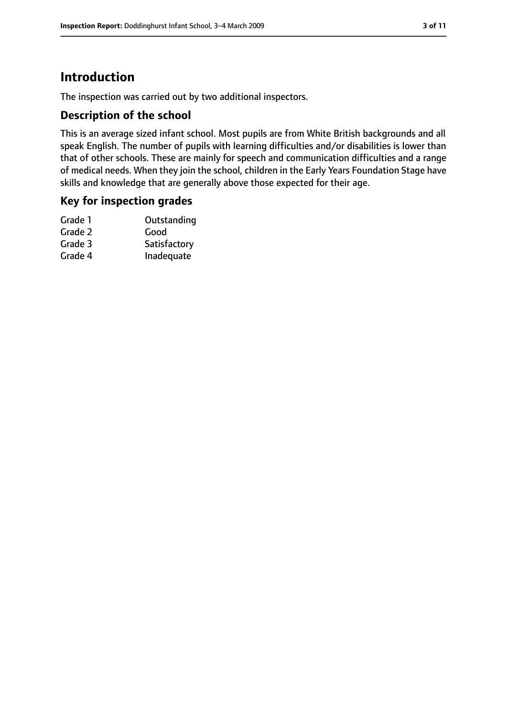# **Introduction**

The inspection was carried out by two additional inspectors.

## **Description of the school**

This is an average sized infant school. Most pupils are from White British backgrounds and all speak English. The number of pupils with learning difficulties and/or disabilities is lower than that of other schools. These are mainly for speech and communication difficulties and a range of medical needs. When they join the school, children in the Early Years Foundation Stage have skills and knowledge that are generally above those expected for their age.

## **Key for inspection grades**

| Outstanding  |
|--------------|
| Good         |
| Satisfactory |
| Inadequate   |
|              |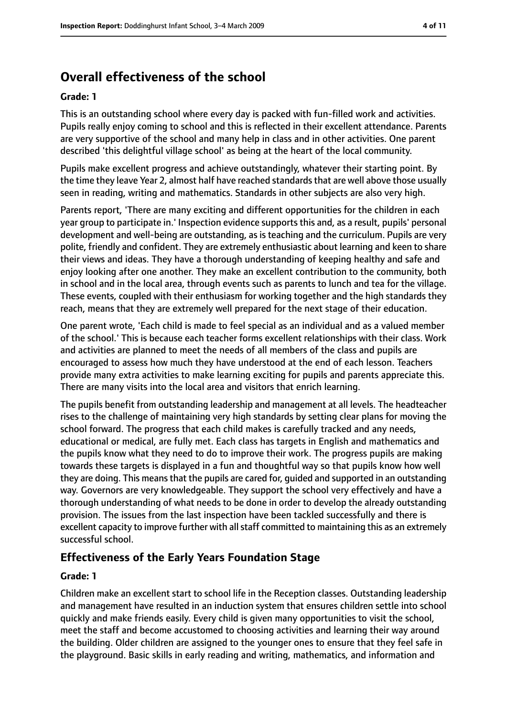# **Overall effectiveness of the school**

#### **Grade: 1**

This is an outstanding school where every day is packed with fun-filled work and activities. Pupils really enjoy coming to school and this is reflected in their excellent attendance. Parents are very supportive of the school and many help in class and in other activities. One parent described 'this delightful village school' as being at the heart of the local community.

Pupils make excellent progress and achieve outstandingly, whatever their starting point. By the time they leave Year 2, almost half have reached standards that are well above those usually seen in reading, writing and mathematics. Standards in other subjects are also very high.

Parents report, 'There are many exciting and different opportunities for the children in each year group to participate in.' Inspection evidence supports this and, as a result, pupils' personal development and well-being are outstanding, as is teaching and the curriculum. Pupils are very polite, friendly and confident. They are extremely enthusiastic about learning and keen to share their views and ideas. They have a thorough understanding of keeping healthy and safe and enjoy looking after one another. They make an excellent contribution to the community, both in school and in the local area, through events such as parents to lunch and tea for the village. These events, coupled with their enthusiasm for working together and the high standards they reach, means that they are extremely well prepared for the next stage of their education.

One parent wrote, 'Each child is made to feel special as an individual and as a valued member of the school.' This is because each teacher forms excellent relationships with their class. Work and activities are planned to meet the needs of all members of the class and pupils are encouraged to assess how much they have understood at the end of each lesson. Teachers provide many extra activities to make learning exciting for pupils and parents appreciate this. There are many visits into the local area and visitors that enrich learning.

The pupils benefit from outstanding leadership and management at all levels. The headteacher rises to the challenge of maintaining very high standards by setting clear plans for moving the school forward. The progress that each child makes is carefully tracked and any needs, educational or medical, are fully met. Each class has targets in English and mathematics and the pupils know what they need to do to improve their work. The progress pupils are making towards these targets is displayed in a fun and thoughtful way so that pupils know how well they are doing. This meansthat the pupils are cared for, guided and supported in an outstanding way. Governors are very knowledgeable. They support the school very effectively and have a thorough understanding of what needs to be done in order to develop the already outstanding provision. The issues from the last inspection have been tackled successfully and there is excellent capacity to improve further with all staff committed to maintaining this as an extremely successful school.

## **Effectiveness of the Early Years Foundation Stage**

#### **Grade: 1**

Children make an excellent start to school life in the Reception classes. Outstanding leadership and management have resulted in an induction system that ensures children settle into school quickly and make friends easily. Every child is given many opportunities to visit the school, meet the staff and become accustomed to choosing activities and learning their way around the building. Older children are assigned to the younger ones to ensure that they feel safe in the playground. Basic skills in early reading and writing, mathematics, and information and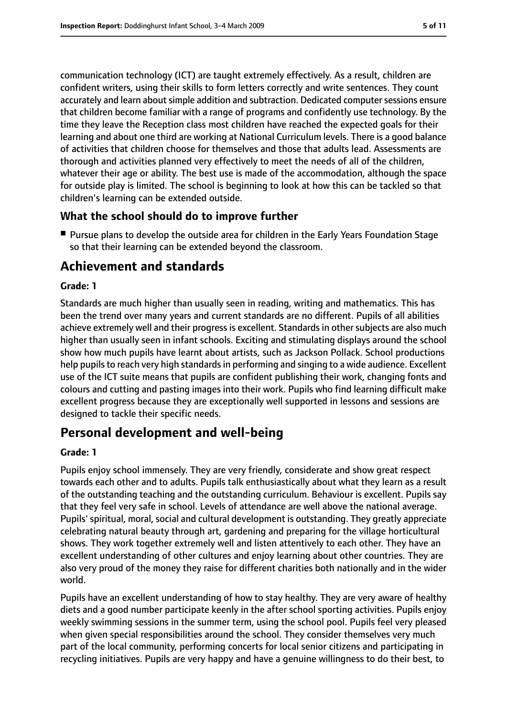communication technology (ICT) are taught extremely effectively. As a result, children are confident writers, using their skills to form letters correctly and write sentences. They count accurately and learn about simple addition and subtraction. Dedicated computer sessions ensure that children become familiar with a range of programs and confidently use technology. By the time they leave the Reception class most children have reached the expected goals for their learning and about one third are working at National Curriculum levels. There is a good balance of activities that children choose for themselves and those that adults lead. Assessments are thorough and activities planned very effectively to meet the needs of all of the children, whatever their age or ability. The best use is made of the accommodation, although the space for outside play is limited. The school is beginning to look at how this can be tackled so that children's learning can be extended outside.

# **What the school should do to improve further**

■ Pursue plans to develop the outside area for children in the Early Years Foundation Stage so that their learning can be extended beyond the classroom.

# **Achievement and standards**

## **Grade: 1**

Standards are much higher than usually seen in reading, writing and mathematics. This has been the trend over many years and current standards are no different. Pupils of all abilities achieve extremely well and their progress is excellent. Standards in other subjects are also much higher than usually seen in infant schools. Exciting and stimulating displays around the school show how much pupils have learnt about artists, such as Jackson Pollack. School productions help pupils to reach very high standards in performing and singing to a wide audience. Excellent use of the ICT suite means that pupils are confident publishing their work, changing fonts and colours and cutting and pasting images into their work. Pupils who find learning difficult make excellent progress because they are exceptionally well supported in lessons and sessions are designed to tackle their specific needs.

# **Personal development and well-being**

#### **Grade: 1**

Pupils enjoy school immensely. They are very friendly, considerate and show great respect towards each other and to adults. Pupils talk enthusiastically about what they learn as a result of the outstanding teaching and the outstanding curriculum. Behaviour is excellent. Pupils say that they feel very safe in school. Levels of attendance are well above the national average. Pupils' spiritual, moral, social and cultural development is outstanding. They greatly appreciate celebrating natural beauty through art, gardening and preparing for the village horticultural shows. They work together extremely well and listen attentively to each other. They have an excellent understanding of other cultures and enjoy learning about other countries. They are also very proud of the money they raise for different charities both nationally and in the wider world.

Pupils have an excellent understanding of how to stay healthy. They are very aware of healthy diets and a good number participate keenly in the after school sporting activities. Pupils enjoy weekly swimming sessions in the summer term, using the school pool. Pupils feel very pleased when given special responsibilities around the school. They consider themselves very much part of the local community, performing concerts for local senior citizens and participating in recycling initiatives. Pupils are very happy and have a genuine willingness to do their best, to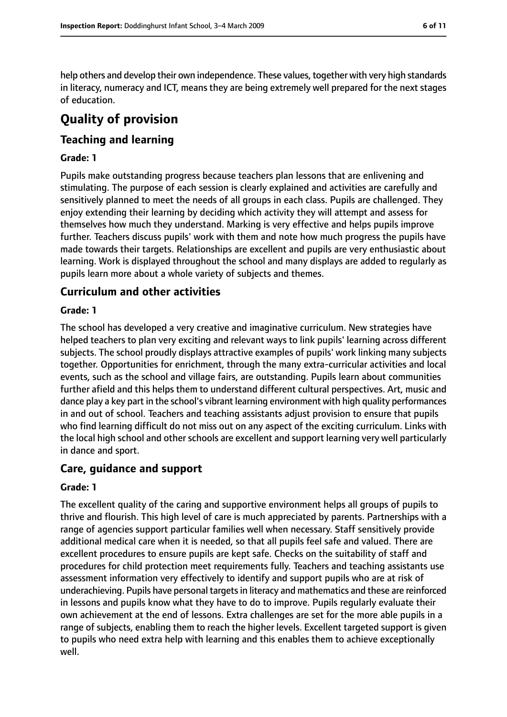help others and develop their own independence. These values, together with very high standards in literacy, numeracy and ICT, means they are being extremely well prepared for the next stages of education.

# **Quality of provision**

# **Teaching and learning**

#### **Grade: 1**

Pupils make outstanding progress because teachers plan lessons that are enlivening and stimulating. The purpose of each session is clearly explained and activities are carefully and sensitively planned to meet the needs of all groups in each class. Pupils are challenged. They enjoy extending their learning by deciding which activity they will attempt and assess for themselves how much they understand. Marking is very effective and helps pupils improve further. Teachers discuss pupils' work with them and note how much progress the pupils have made towards their targets. Relationships are excellent and pupils are very enthusiastic about learning. Work is displayed throughout the school and many displays are added to regularly as pupils learn more about a whole variety of subjects and themes.

## **Curriculum and other activities**

#### **Grade: 1**

The school has developed a very creative and imaginative curriculum. New strategies have helped teachers to plan very exciting and relevant ways to link pupils' learning across different subjects. The school proudly displays attractive examples of pupils' work linking many subjects together. Opportunities for enrichment, through the many extra-curricular activities and local events, such as the school and village fairs, are outstanding. Pupils learn about communities further afield and this helps them to understand different cultural perspectives. Art, music and dance play a key part in the school's vibrant learning environment with high quality performances in and out of school. Teachers and teaching assistants adjust provision to ensure that pupils who find learning difficult do not miss out on any aspect of the exciting curriculum. Links with the local high school and other schools are excellent and support learning very well particularly in dance and sport.

#### **Care, guidance and support**

#### **Grade: 1**

The excellent quality of the caring and supportive environment helps all groups of pupils to thrive and flourish. This high level of care is much appreciated by parents. Partnerships with a range of agencies support particular families well when necessary. Staff sensitively provide additional medical care when it is needed, so that all pupils feel safe and valued. There are excellent procedures to ensure pupils are kept safe. Checks on the suitability of staff and procedures for child protection meet requirements fully. Teachers and teaching assistants use assessment information very effectively to identify and support pupils who are at risk of underachieving. Pupils have personal targets in literacy and mathematics and these are reinforced in lessons and pupils know what they have to do to improve. Pupils regularly evaluate their own achievement at the end of lessons. Extra challenges are set for the more able pupils in a range of subjects, enabling them to reach the higher levels. Excellent targeted support is given to pupils who need extra help with learning and this enables them to achieve exceptionally well.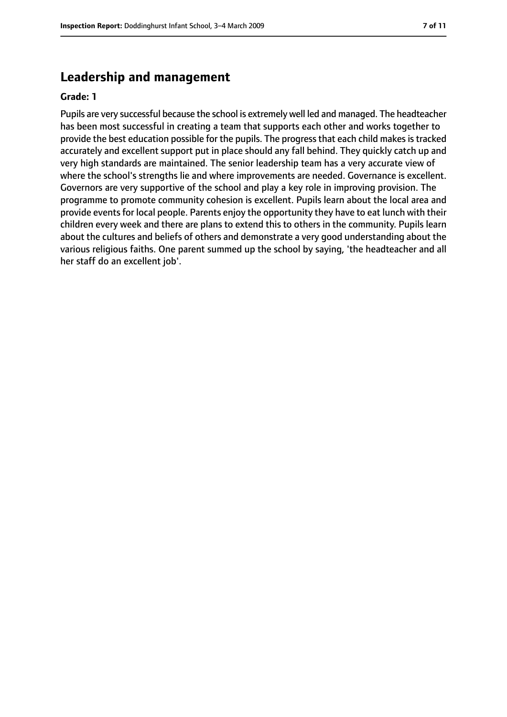# **Leadership and management**

#### **Grade: 1**

Pupils are very successful because the school is extremely well led and managed. The headteacher has been most successful in creating a team that supports each other and works together to provide the best education possible for the pupils. The progress that each child makes is tracked accurately and excellent support put in place should any fall behind. They quickly catch up and very high standards are maintained. The senior leadership team has a very accurate view of where the school's strengths lie and where improvements are needed. Governance is excellent. Governors are very supportive of the school and play a key role in improving provision. The programme to promote community cohesion is excellent. Pupils learn about the local area and provide events for local people. Parents enjoy the opportunity they have to eat lunch with their children every week and there are plans to extend this to others in the community. Pupils learn about the cultures and beliefs of others and demonstrate a very good understanding about the various religious faiths. One parent summed up the school by saying, 'the headteacher and all her staff do an excellent job'.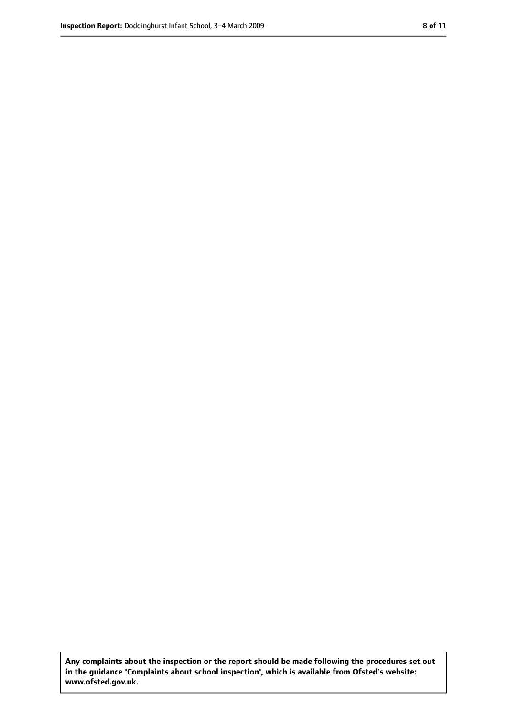**Any complaints about the inspection or the report should be made following the procedures set out in the guidance 'Complaints about school inspection', which is available from Ofsted's website: www.ofsted.gov.uk.**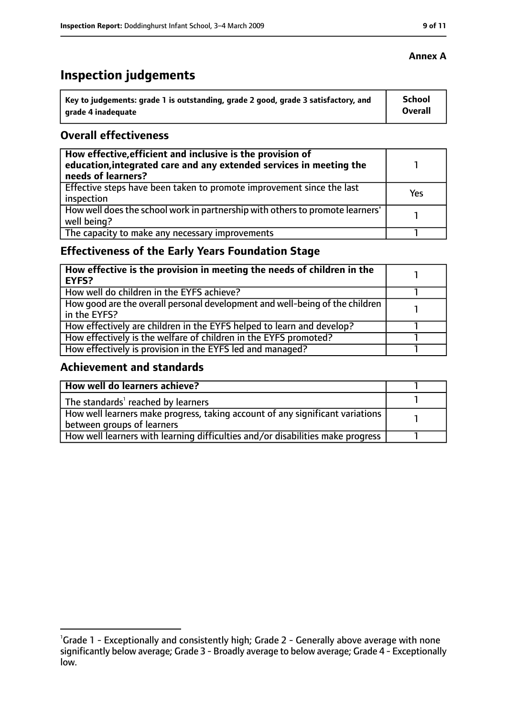# **Inspection judgements**

| ˈ Key to judgements: grade 1 is outstanding, grade 2 good, grade 3 satisfactory, and | <b>School</b>  |
|--------------------------------------------------------------------------------------|----------------|
| arade 4 inadequate                                                                   | <b>Overall</b> |

#### **Overall effectiveness**

| How effective, efficient and inclusive is the provision of<br>education, integrated care and any extended services in meeting the<br>needs of learners? |     |
|---------------------------------------------------------------------------------------------------------------------------------------------------------|-----|
| Effective steps have been taken to promote improvement since the last<br>inspection                                                                     | Yes |
| How well does the school work in partnership with others to promote learners'<br>well being?                                                            |     |
| The capacity to make any necessary improvements                                                                                                         |     |

# **Effectiveness of the Early Years Foundation Stage**

| How effective is the provision in meeting the needs of children in the<br>l EYFS?            |  |
|----------------------------------------------------------------------------------------------|--|
| How well do children in the EYFS achieve?                                                    |  |
| How good are the overall personal development and well-being of the children<br>in the EYFS? |  |
| How effectively are children in the EYFS helped to learn and develop?                        |  |
| How effectively is the welfare of children in the EYFS promoted?                             |  |
| How effectively is provision in the EYFS led and managed?                                    |  |

#### **Achievement and standards**

| How well do learners achieve?                                                  |  |
|--------------------------------------------------------------------------------|--|
| The standards <sup>1</sup> reached by learners                                 |  |
| How well learners make progress, taking account of any significant variations  |  |
| between groups of learners                                                     |  |
| How well learners with learning difficulties and/or disabilities make progress |  |

## **Annex A**

<sup>&</sup>lt;sup>1</sup>Grade 1 - Exceptionally and consistently high; Grade 2 - Generally above average with none significantly below average; Grade 3 - Broadly average to below average; Grade 4 - Exceptionally low.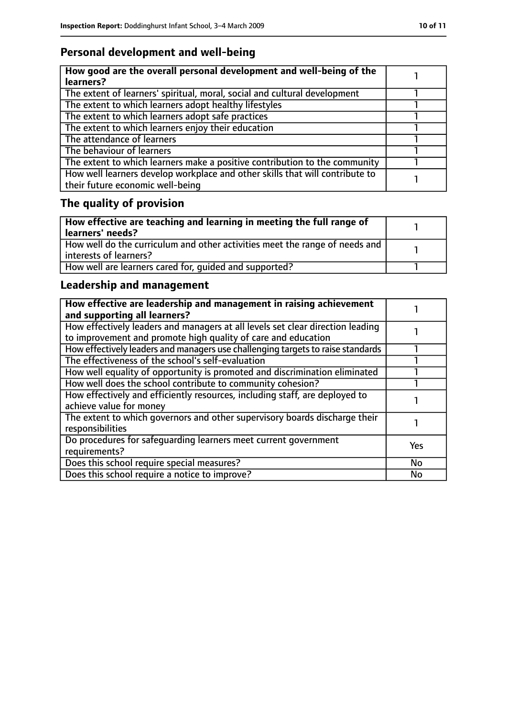# **Personal development and well-being**

| How good are the overall personal development and well-being of the<br>learners?                                 |  |
|------------------------------------------------------------------------------------------------------------------|--|
| The extent of learners' spiritual, moral, social and cultural development                                        |  |
| The extent to which learners adopt healthy lifestyles                                                            |  |
| The extent to which learners adopt safe practices                                                                |  |
| The extent to which learners enjoy their education                                                               |  |
| The attendance of learners                                                                                       |  |
| The behaviour of learners                                                                                        |  |
| The extent to which learners make a positive contribution to the community                                       |  |
| How well learners develop workplace and other skills that will contribute to<br>their future economic well-being |  |

# **The quality of provision**

| $\mid$ How effective are teaching and learning in meeting the full range of<br>  learners' needs?       |  |
|---------------------------------------------------------------------------------------------------------|--|
| How well do the curriculum and other activities meet the range of needs and<br>  interests of learners? |  |
| How well are learners cared for, quided and supported?                                                  |  |

# **Leadership and management**

| How effective are leadership and management in raising achievement<br>and supporting all learners?                                              |            |
|-------------------------------------------------------------------------------------------------------------------------------------------------|------------|
| How effectively leaders and managers at all levels set clear direction leading<br>to improvement and promote high quality of care and education |            |
| How effectively leaders and managers use challenging targets to raise standards                                                                 |            |
| The effectiveness of the school's self-evaluation                                                                                               |            |
| How well equality of opportunity is promoted and discrimination eliminated                                                                      |            |
| How well does the school contribute to community cohesion?                                                                                      |            |
| How effectively and efficiently resources, including staff, are deployed to<br>achieve value for money                                          |            |
| The extent to which governors and other supervisory boards discharge their<br>responsibilities                                                  |            |
| Do procedures for safequarding learners meet current government<br>requirements?                                                                | <b>Yes</b> |
| Does this school require special measures?                                                                                                      | <b>No</b>  |
| Does this school require a notice to improve?                                                                                                   | No         |